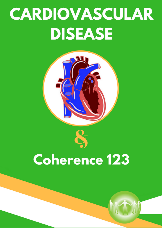# **CARDIOVASCULAR DISEASE**



## **Coherence 123**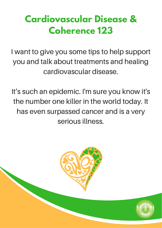### **Cardiovascular Disease & Coherence 123**

I want to give you some tips to help support you and talk about treatments and healing cardiovascular disease.

It's such an epidemic. I'm sure you know it's the number one killer in the world today. It has even surpassed cancer and is a very serious illness.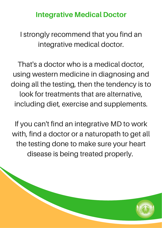#### Integrative Medical Doctor

I strongly recommend that you find an integrative medical doctor.

That's a doctor who is a medical doctor, using western medicine in diagnosing and doing all the testing, then the tendency is to look for treatments that are alternative, including diet, exercise and supplements.

If you can't find an integrative MD to work with, find a doctor or a naturopath to get all the testing done to make sure your heart disease is being treated properly.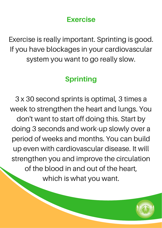#### Exercise

Exercise is really important. Sprinting is good. If you have blockages in your cardiovascular system you want to go really slow.

#### Sprinting

3 x 30 second sprints is optimal, 3 times a week to strengthen the heart and lungs. You don't want to start off doing this. Start by doing 3 seconds and work-up slowly over a period of weeks and months. You can build up even with cardiovascular disease. It will strengthen you and improve the circulation of the blood in and out of the heart, which is what you want.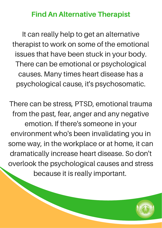#### Find An Alternative Therapist

It can really help to get an alternative therapist to work on some of the emotional issues that have been stuck in your body. There can be emotional or psychological causes. Many times heart disease has a psychological cause, it's psychosomatic.

There can be stress, PTSD, emotional trauma from the past, fear, anger and any negative emotion. If there's someone in your environment who's been invalidating you in some way, in the workplace or at home, it can dramatically increase heart disease. So don't overlook the psychological causes and stress because it is really important.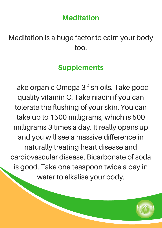#### **Meditation**

#### Meditation is a huge factor to calm your body too.

#### **Supplements**

Take organic Omega 3 fish oils. Take good quality vitamin C. Take niacin if you can tolerate the flushing of your skin. You can take up to 1500 milligrams, which is 500 milligrams 3 times a day. It really opens up and you will see a massive difference in naturally treating heart disease and cardiovascular disease. Bicarbonate of soda is good. Take one teaspoon twice a day in water to alkalise your body.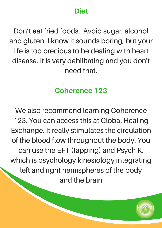#### Diet

Don't eat fried foods. Avoid sugar, alcohol and gluten. I know it sounds boring, but your life is too precious to be dealing with heart disease. It is very debilitating and you don't need that.

#### Coherence 123

We also recommend learning Coherence 123. You can access this at Global Healing Exchange. It really stimulates the circulation of the blood flow throughout the body. You can use the EFT (tapping) and Psych K, which is psychology kinesiology integrating left and right hemispheres of the body and the brain.